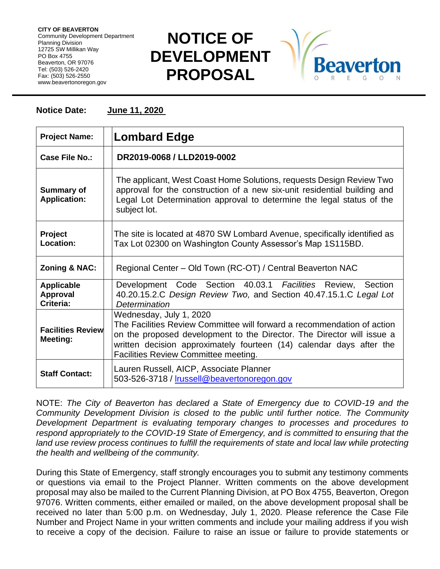**CITY OF BEAVERTON** Community Development Department Planning Division 12725 SW Millikan Way PO Box 4755 Beaverton, OR 97076 Tel: (503) 526-2420 Fax: (503) 526-2550 www.beavertonoregon.gov

## **NOTICE OF DEVELOPMENT PROPOSAL**



## **Notice Date: June 11, 2020**

| <b>Project Name:</b>                              | <b>Lombard Edge</b>                                                                                                                                                                                                                                                                          |
|---------------------------------------------------|----------------------------------------------------------------------------------------------------------------------------------------------------------------------------------------------------------------------------------------------------------------------------------------------|
| Case File No.:                                    | DR2019-0068 / LLD2019-0002                                                                                                                                                                                                                                                                   |
| <b>Summary of</b><br><b>Application:</b>          | The applicant, West Coast Home Solutions, requests Design Review Two<br>approval for the construction of a new six-unit residential building and<br>Legal Lot Determination approval to determine the legal status of the<br>subject lot.                                                    |
| <b>Project</b><br>Location:                       | The site is located at 4870 SW Lombard Avenue, specifically identified as<br>Tax Lot 02300 on Washington County Assessor's Map 1S115BD.                                                                                                                                                      |
| <b>Zoning &amp; NAC:</b>                          | Regional Center - Old Town (RC-OT) / Central Beaverton NAC                                                                                                                                                                                                                                   |
| <b>Applicable</b><br><b>Approval</b><br>Criteria: | Development Code Section 40.03.1 Facilities Review, Section<br>40.20.15.2.C Design Review Two, and Section 40.47.15.1.C Legal Lot<br>Determination                                                                                                                                           |
| <b>Facilities Review</b><br>Meeting:              | Wednesday, July 1, 2020<br>The Facilities Review Committee will forward a recommendation of action<br>on the proposed development to the Director. The Director will issue a<br>written decision approximately fourteen (14) calendar days after the<br>Facilities Review Committee meeting. |
| <b>Staff Contact:</b>                             | Lauren Russell, AICP, Associate Planner<br>503-526-3718 / <b>Irussell@beavertonoregon.gov</b>                                                                                                                                                                                                |

NOTE: *The City of Beaverton has declared a State of Emergency due to COVID-19 and the Community Development Division is closed to the public until further notice. The Community Development Department is evaluating temporary changes to processes and procedures to respond appropriately to the COVID-19 State of Emergency, and is committed to ensuring that the*  land use review process continues to fulfill the requirements of state and local law while protecting *the health and wellbeing of the community.*

During this State of Emergency, staff strongly encourages you to submit any testimony comments or questions via email to the Project Planner. Written comments on the above development proposal may also be mailed to the Current Planning Division, at PO Box 4755, Beaverton, Oregon 97076. Written comments, either emailed or mailed, on the above development proposal shall be received no later than 5:00 p.m. on Wednesday, July 1, 2020. Please reference the Case File Number and Project Name in your written comments and include your mailing address if you wish to receive a copy of the decision. Failure to raise an issue or failure to provide statements or